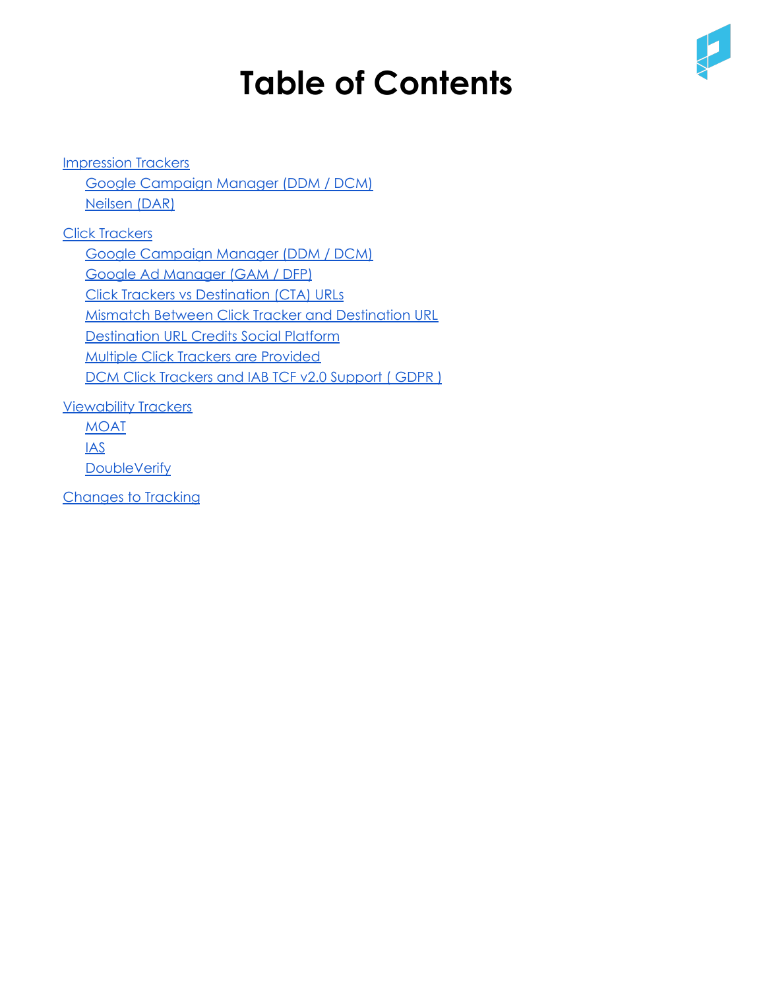# **Table of Contents**



[Impression](#page-1-0) Trackers Google [Campaign](#page-1-1) Manager (DDM / DCM) [Neilsen](#page-2-0) (DAR) Click [Trackers](#page-3-0) Google [Campaign](#page-3-1) Manager (DDM / DCM) Google Ad [Manager](#page-4-0) (GAM / DFP) Click Trackers vs [Destination](#page-4-1) (CTA) URLs Mismatch Between Click Tracker and [Destination](#page-5-0) URL [Destination](#page-6-0) URL Credits Social Platform Multiple Click Trackers are [Provided](#page-6-1) DCM Click [Trackers](#page-7-0) and IAB TCF v2.0 Support ( GDPR ) [Viewability](#page-7-1) Trackers

[MOAT](#page-7-2) IAS **[DoubleVerify](#page-12-0)** 

[Changes](#page-13-0) to Tracking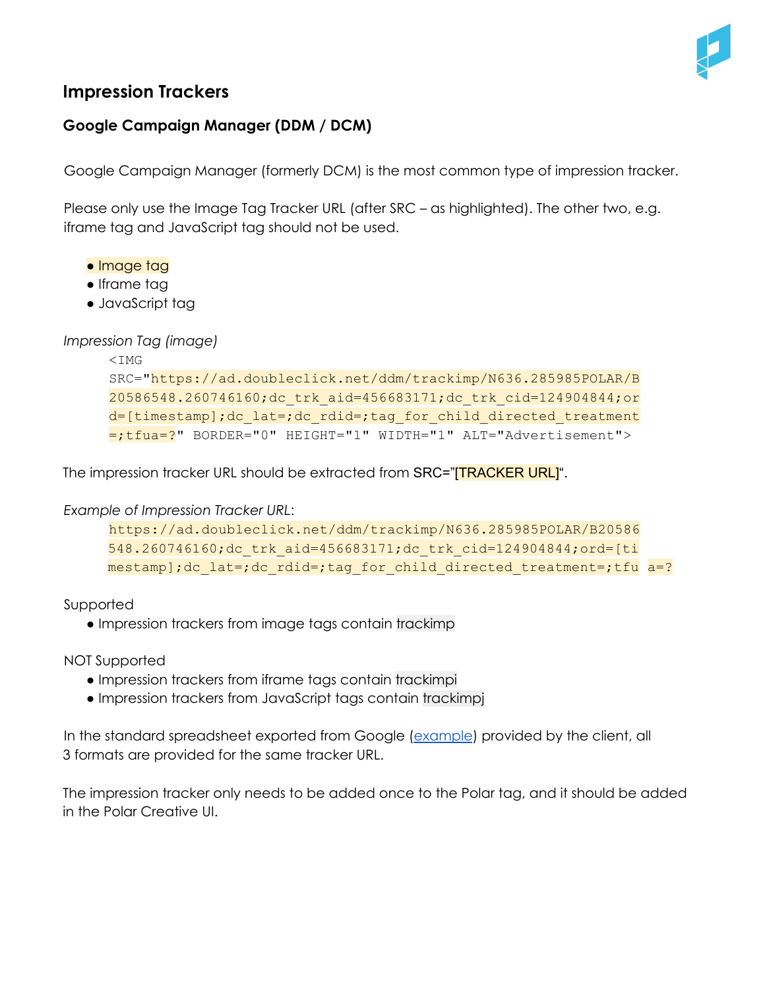

## <span id="page-1-0"></span>**Impression Trackers**

## <span id="page-1-1"></span>**Google Campaign Manager (DDM / DCM)**

Google Campaign Manager (formerly DCM) is the most common type of impression tracker.

Please only use the Image Tag Tracker URL (after SRC – as highlighted). The other two, e.g. iframe tag and JavaScript tag should not be used.

- Image tag
- Iframe tag
- JavaScript tag

*Impression Tag (image)*

```
<TMG
SRC="https://ad.doubleclick.net/ddm/trackimp/N636.285985POLAR/B
20586548.260746160;dc_trk_aid=456683171;dc_trk_cid=124904844;or
d=[timestamp];dc_lat=;dc_rdid=;tag_for_child_directed_treatment
=;tfua=?" BORDER="0" HEIGHT="1" WIDTH="1" ALT="Advertisement">
```
The impression tracker URL should be extracted from SRC="**[TRACKER URL]**".

*Example of Impression Tracker URL*:

```
https://ad.doubleclick.net/ddm/trackimp/N636.285985POLAR/B20586
548.260746160;dc_trk_aid=456683171;dc_trk_cid=124904844;ord=[ti
mestamp];dc lat=;dc rdid=;tag for child directed treatment=;tfu a=?
```
Supported

• Impression trackers from image tags contain trackimp

NOT Supported

- Impression trackers from iframe tags contain trackimpi
- Impression trackers from JavaScript tags contain trackimpj

In the standard spreadsheet exported from Google [\(example](https://drive.google.com/file/d/1Lbvp1AV-uIib0vwNpWf2HVN6ywKrS8P_/view)) provided by the client, all 3 formats are provided for the same tracker URL.

The impression tracker only needs to be added once to the Polar tag, and it should be added in the Polar Creative UI.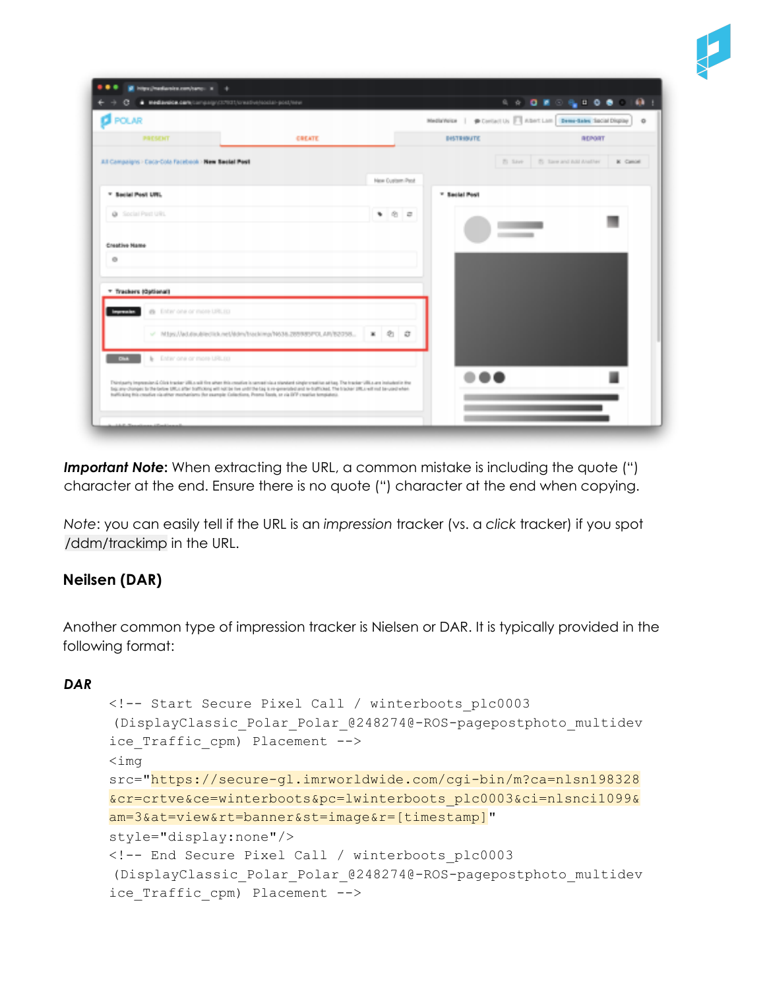

| <b>D</b> POLAR                                            |        |                 |     | Metintels   @ Cortactus   Abottam   Demotates Social Display |                                |                 | $\circ$ |
|-----------------------------------------------------------|--------|-----------------|-----|--------------------------------------------------------------|--------------------------------|-----------------|---------|
|                                                           |        |                 |     |                                                              |                                |                 |         |
| PRESENT                                                   | CREATE |                 |     | DeSTREBUTE                                                   |                                | <b>BERGST</b>   |         |
| All Campaigns > Caca-Cola Facebook > New Backet Post      |        |                 |     |                                                              | 75 Says 55 Sare and AM Anather | <b>K</b> Cancel |         |
|                                                           |        | New Custom Past |     |                                                              |                                |                 |         |
| * Secial Post URL                                         |        |                 |     | * Secial Post                                                |                                |                 |         |
| @ Social Port URL                                         |        |                 | 900 |                                                              |                                |                 |         |
|                                                           |        |                 |     |                                                              |                                |                 |         |
|                                                           |        |                 |     |                                                              |                                |                 |         |
| Creative Name                                             |        |                 |     |                                                              |                                |                 |         |
| $\circ$                                                   |        |                 |     |                                                              |                                |                 |         |
|                                                           |        |                 |     |                                                              |                                |                 |         |
| * Trackers (Optional)                                     |        |                 |     |                                                              |                                |                 |         |
| @ Enter one or more URLEO<br>Impression                   |        |                 |     |                                                              |                                |                 |         |
|                                                           |        |                 |     |                                                              |                                |                 |         |
| v Miss//addiscite/net/dev/hocking/1636.285985POLAR/52055. |        | $\mathbf x$     | 20  |                                                              |                                |                 |         |
| <b>Child</b><br>b Enter one or more URL10                 |        |                 |     |                                                              |                                |                 |         |
|                                                           |        |                 |     |                                                              |                                |                 |         |

**Important Note:** When extracting the URL, a common mistake is including the quote (") character at the end. Ensure there is no quote (") character at the end when copying.

*Note*: you can easily tell if the URL is an *impression* tracker (vs. a *click* tracker) if you spot /ddm/trackimp in the URL.

## <span id="page-2-0"></span>**Neilsen (DAR)**

Another common type of impression tracker is Nielsen or DAR. It is typically provided in the following format:

## *DAR*

```
<!-- Start Secure Pixel Call / winterboots_plc0003
(DisplayClassic_Polar_Polar_@248274@-ROS-pagepostphoto_multidev
ice Traffic cpm) Placement -->
<img
src="https://secure-gl.imrworldwide.com/cgi-bin/m?ca=nlsn198328
&cr=crtve&ce=winterboots&pc=lwinterboots_plc0003&ci=nlsnci1099&
am=3&at=view&rt=banner&st=image&r=[timestamp]"
style="display:none"/>
<!-- End Secure Pixel Call / winterboots_plc0003
(DisplayClassic_Polar_Polar_@248274@-ROS-pagepostphoto_multidev
ice Traffic cpm) Placement -->
```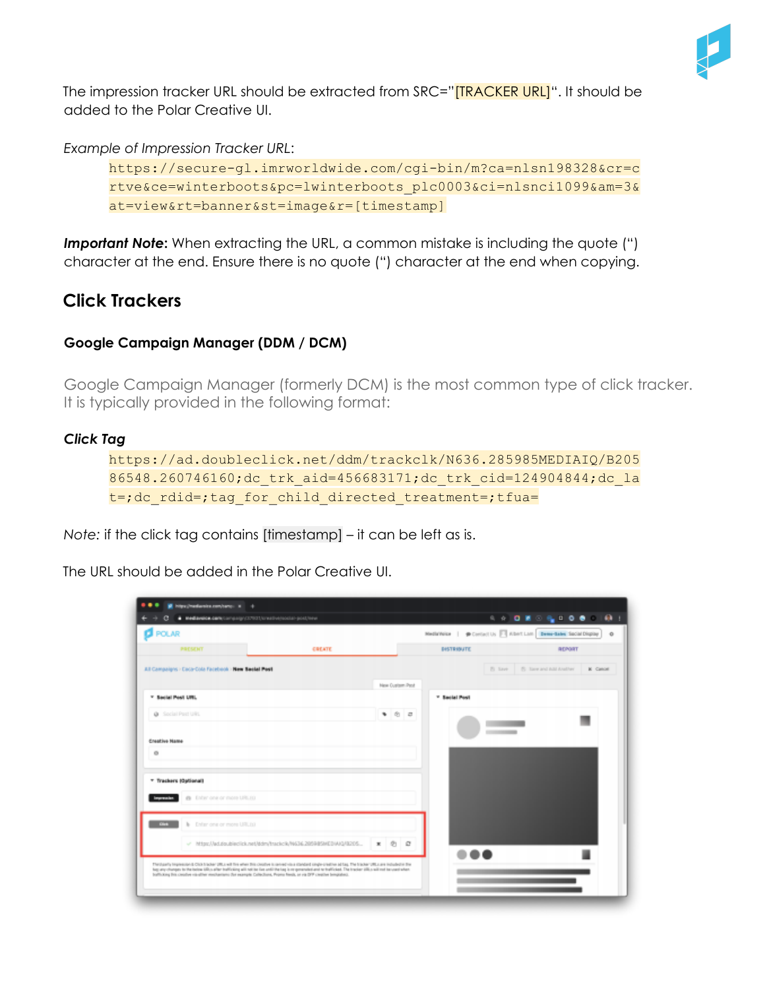

The impression tracker URL should be extracted from SRC="**[TRACKER URL]**". It should be added to the Polar Creative UI.

*Example of Impression Tracker URL*:

```
https://secure-gl.imrworldwide.com/cgi-bin/m?ca=nlsn198328&cr=c
rtve&ce=winterboots&pc=lwinterboots_plc0003&ci=nlsnci1099&am=3&
at=view&rt=banner&st=image&r=[timestamp]
```
*Important Note***:** When extracting the URL, a common mistake is including the quote (") character at the end. Ensure there is no quote (") character at the end when copying.

# <span id="page-3-0"></span>**Click Trackers**

## <span id="page-3-1"></span>**Google Campaign Manager (DDM / DCM)**

Google Campaign Manager (formerly DCM) is the most common type of click tracker. It is typically provided in the following format:

#### *Click Tag*

```
https://ad.doubleclick.net/ddm/trackclk/N636.285985MEDIAIQ/B205
86548.260746160;dc_trk_aid=456683171;dc_trk_cid=124904844;dc_la
t=;dc_rdid=;tag_for_child_directed_treatment=;tfua=
```
*Note:* if the click tag contains [timestamp] – it can be left as is.

The URL should be added in the Polar Creative UI.

| <b>NetWester.com</b> /compagn/37931/orealive/social-post/new                                                                                                                                                                                                                                                          |        |                       |                 |                   |                                                                    |          |
|-----------------------------------------------------------------------------------------------------------------------------------------------------------------------------------------------------------------------------------------------------------------------------------------------------------------------|--------|-----------------------|-----------------|-------------------|--------------------------------------------------------------------|----------|
| <b>POLAR</b>                                                                                                                                                                                                                                                                                                          |        |                       |                 |                   | MediaWelse   @ Contact Us   Albert Lom   Demo-Sales Sacial Display | $\alpha$ |
| PRESENT                                                                                                                                                                                                                                                                                                               | CREATE |                       |                 | <b>DeSTRONATE</b> | <b>BERGST</b>                                                      |          |
| All Campaigns > Caca-Cola Facebook > New Sector Post                                                                                                                                                                                                                                                                  |        |                       |                 |                   | 75 Says 15 Sare and AM Analher K Cancel                            |          |
|                                                                                                                                                                                                                                                                                                                       |        |                       | New Custom Past |                   |                                                                    |          |
| * Secial Post URL                                                                                                                                                                                                                                                                                                     |        |                       |                 | * Secial Post     |                                                                    |          |
| @ Social Part URL                                                                                                                                                                                                                                                                                                     |        |                       | 802             |                   |                                                                    |          |
|                                                                                                                                                                                                                                                                                                                       |        |                       |                 |                   |                                                                    |          |
| Creative Name<br>$\circ$                                                                                                                                                                                                                                                                                              |        |                       |                 |                   |                                                                    |          |
|                                                                                                                                                                                                                                                                                                                       |        |                       |                 |                   |                                                                    |          |
| * Trackers (Optional)                                                                                                                                                                                                                                                                                                 |        |                       |                 |                   |                                                                    |          |
| @ Enter one or more URLEO<br>myrtiades.                                                                                                                                                                                                                                                                               |        |                       |                 |                   |                                                                    |          |
| <b>CONTRACTOR</b><br>b Enfor one or more URL13                                                                                                                                                                                                                                                                        |        |                       |                 |                   |                                                                    |          |
| - https://ad.doubleclick.net/ddm/trackcik/N636.205985MEDWA248205                                                                                                                                                                                                                                                      |        | $x$ $\theta$ $\theta$ |                 |                   |                                                                    |          |
| Throughly trepresson is Clos tracker (RL) will fire when this closifier is cereed visual completionable and as a The tracker (RL) are included in the<br>lug any changes to the lookee USLs after trafficking will not be live until the lag is re-government or trafficient. The tracker USLs will met terrured when |        |                       |                 |                   |                                                                    |          |
| Softsking Bils clearber via giller mechanisms that example Collections, Promo fixeds, or via DFP clearber bringssteps.                                                                                                                                                                                                |        |                       |                 |                   |                                                                    |          |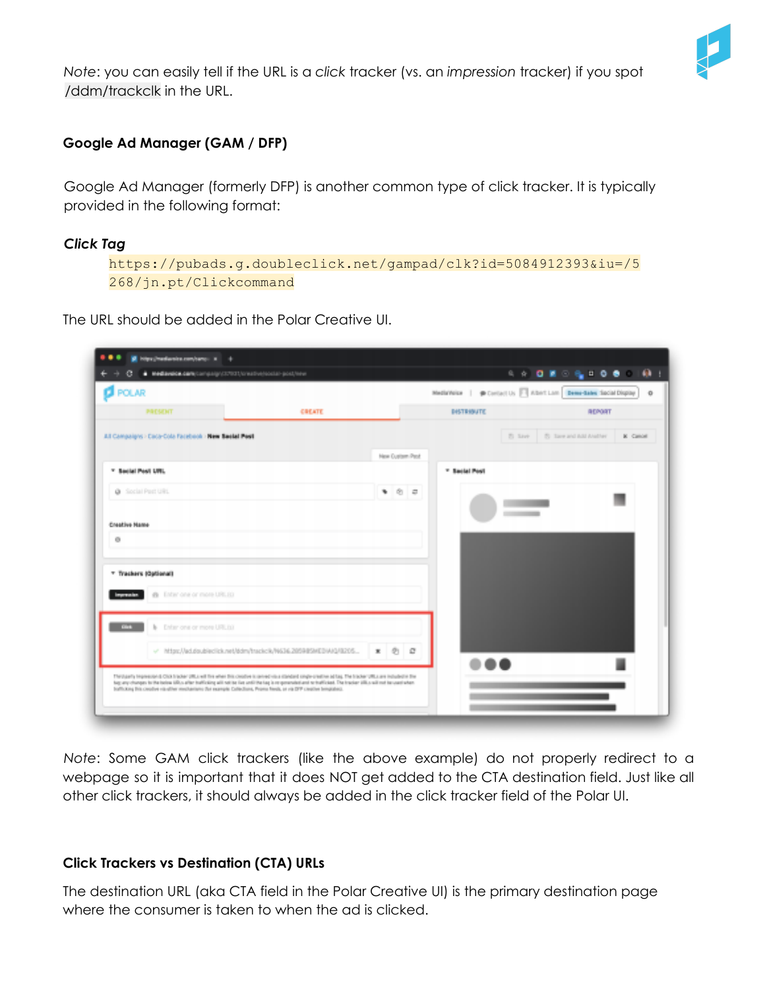

*Note*: you can easily tell if the URL is a *click* tracker (vs. an *impression* tracker) if you spot /ddm/trackclk in the URL.

## <span id="page-4-0"></span>**Google Ad Manager (GAM / DFP)**

Google Ad Manager (formerly DFP) is another common type of click tracker. It is typically provided in the following format:

#### *Click Tag*

https://pubads.g.doubleclick.net/gampad/clk?id=5084912393&iu=/5 268/jn.pt/Clickcommand

The URL should be added in the Polar Creative UI.

| POLAR                                                                                                                                                                                                                                                                                                                                         |               |                 | MediaWeise   @ Contact Us   Albert Lom   Demo-Sales Sacial Display |         | 4 4 0 8 2 4 1 0 8 1 0 1  |                      | $\circ$    |
|-----------------------------------------------------------------------------------------------------------------------------------------------------------------------------------------------------------------------------------------------------------------------------------------------------------------------------------------------|---------------|-----------------|--------------------------------------------------------------------|---------|--------------------------|----------------------|------------|
| PROSENT                                                                                                                                                                                                                                                                                                                                       | <b>GREATE</b> |                 | ВНАТВИВАТЕ:                                                        |         |                          | <b><i>BERGST</i></b> |            |
| All Campaigns - Caca-Cola Facebook - New Swelet Pool                                                                                                                                                                                                                                                                                          |               |                 |                                                                    | El Save | (5) Save and Add Analher |                      | BC Campail |
|                                                                                                                                                                                                                                                                                                                                               |               | New Custom Past |                                                                    |         |                          |                      |            |
| 21 Section Presidents.                                                                                                                                                                                                                                                                                                                        |               |                 | <sup>27</sup> Sacket Posts                                         |         |                          |                      |            |
| @ Social Post URL                                                                                                                                                                                                                                                                                                                             |               | 有 向 章           |                                                                    |         |                          |                      |            |
|                                                                                                                                                                                                                                                                                                                                               |               |                 |                                                                    |         |                          |                      |            |
| Coastive Name                                                                                                                                                                                                                                                                                                                                 |               |                 |                                                                    |         |                          |                      |            |
| 通                                                                                                                                                                                                                                                                                                                                             |               |                 |                                                                    |         |                          |                      |            |
| * Trackers (Optional)                                                                                                                                                                                                                                                                                                                         |               |                 |                                                                    |         |                          |                      |            |
| @ Enter one or more URLEO<br>ingenation.                                                                                                                                                                                                                                                                                                      |               |                 |                                                                    |         |                          |                      |            |
|                                                                                                                                                                                                                                                                                                                                               |               |                 |                                                                    |         |                          |                      |            |
| <b>Civic</b><br>b Enter one or more URLEO                                                                                                                                                                                                                                                                                                     |               |                 |                                                                    |         |                          |                      |            |
| v Mtsc/Jad.doubleclick.net/ddm/trackclk/W636.2059859KEDIAI3/8255                                                                                                                                                                                                                                                                              |               | $x - 0$ $0$     |                                                                    |         |                          |                      |            |
| Throbastly Impression & Click Inscher URLs will fire when Bris coupline is remediately repeated strategies predices ad larg. The Inscher URLs are industrially file<br>hap any changes to the index tills is after trafficting will neithe that until the tax) is or opmosaked and nr trafficted. The tracker tills o will made an until what |               |                 |                                                                    |         |                          |                      |            |
| ballstay this credite risulter mechanism Del example Collections, Promo fiests, or ris DFP cleated bengabled.                                                                                                                                                                                                                                 |               |                 |                                                                    |         |                          |                      |            |

*Note*: Some GAM click trackers (like the above example) do not properly redirect to a webpage so it is important that it does NOT get added to the CTA destination field. Just like all other click trackers, it should always be added in the click tracker field of the Polar UI.

#### <span id="page-4-1"></span>**Click Trackers vs Destination (CTA) URLs**

The destination URL (aka CTA field in the Polar Creative UI) is the primary destination page where the consumer is taken to when the ad is clicked.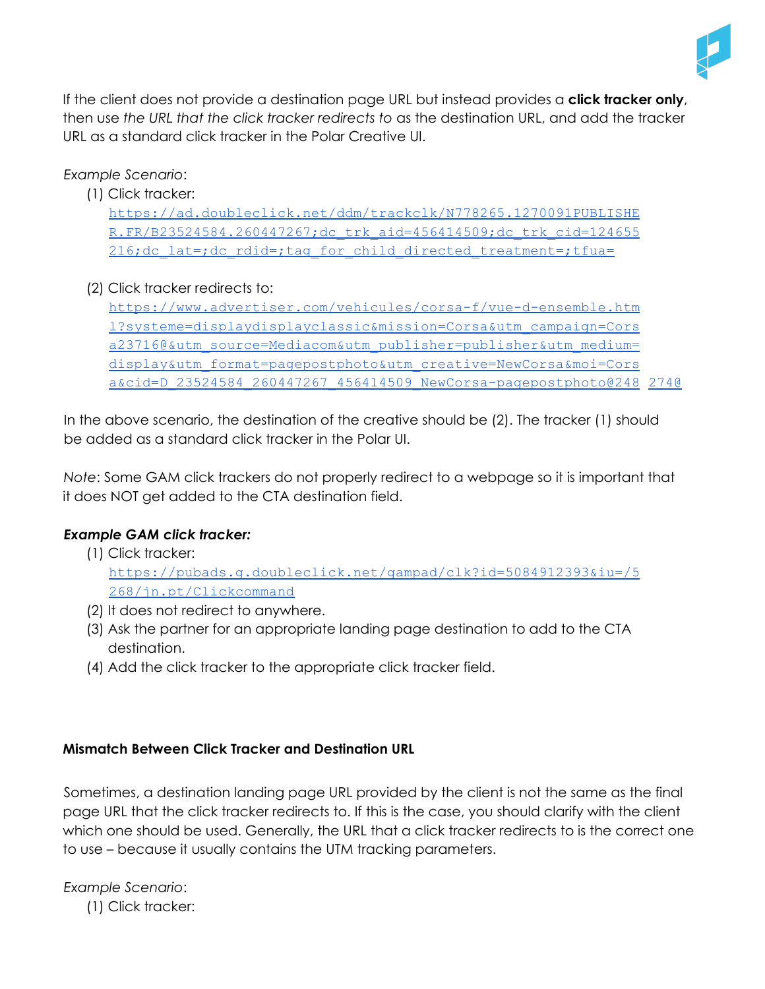

If the client does not provide a destination page URL but instead provides a **click tracker only**, then use *the URL that the click tracker redirects to* as the destination URL, and add the tracker URL as a standard click tracker in the Polar Creative UI.

## *Example Scenario*:

- (1) Click tracker: https://ad.doubleclick.net/ddm/trackclk/N778265.1270091PUBLISHE R.FR/B23524584.260447267;dc\_trk\_aid=456414509;dc\_trk\_cid=124655 216;dc\_lat=;dc\_rdid=;tag\_for\_child\_directed\_treatment=;tfua=
- (2) Click tracker redirects to:

https://www.advertiser.com/vehicules/corsa-f/vue-d-ensemble.htm l?systeme=displaydisplayclassic&mission=Corsa&utm\_campaign=Cors a23716@&utm\_source=Mediacom&utm\_publisher=publisher&utm\_medium= display&utm\_format=pagepostphoto&utm\_creative=NewCorsa&moi=Cors a&cid=D\_23524584\_260447267\_456414509\_NewCorsa-pagepostphoto@248 274@

In the above scenario, the destination of the creative should be (2). The tracker (1) should be added as a standard click tracker in the Polar UI.

*Note*: Some GAM click trackers do not properly redirect to a webpage so it is important that it does NOT get added to the CTA destination field.

## *Example GAM click tracker:*

- (1) Click tracker: https://pubads.g.doubleclick.net/gampad/clk?id=5084912393&iu=/5 268/jn.pt/Clickcommand
- (2) It does not redirect to anywhere.
- (3) Ask the partner for an appropriate landing page destination to add to the CTA destination.
- (4) Add the click tracker to the appropriate click tracker field.

## <span id="page-5-0"></span>**Mismatch Between Click Tracker and Destination URL**

Sometimes, a destination landing page URL provided by the client is not the same as the final page URL that the click tracker redirects to. If this is the case, you should clarify with the client which one should be used. Generally, the URL that a click tracker redirects to is the correct one to use – because it usually contains the UTM tracking parameters.

*Example Scenario*:

(1) Click tracker: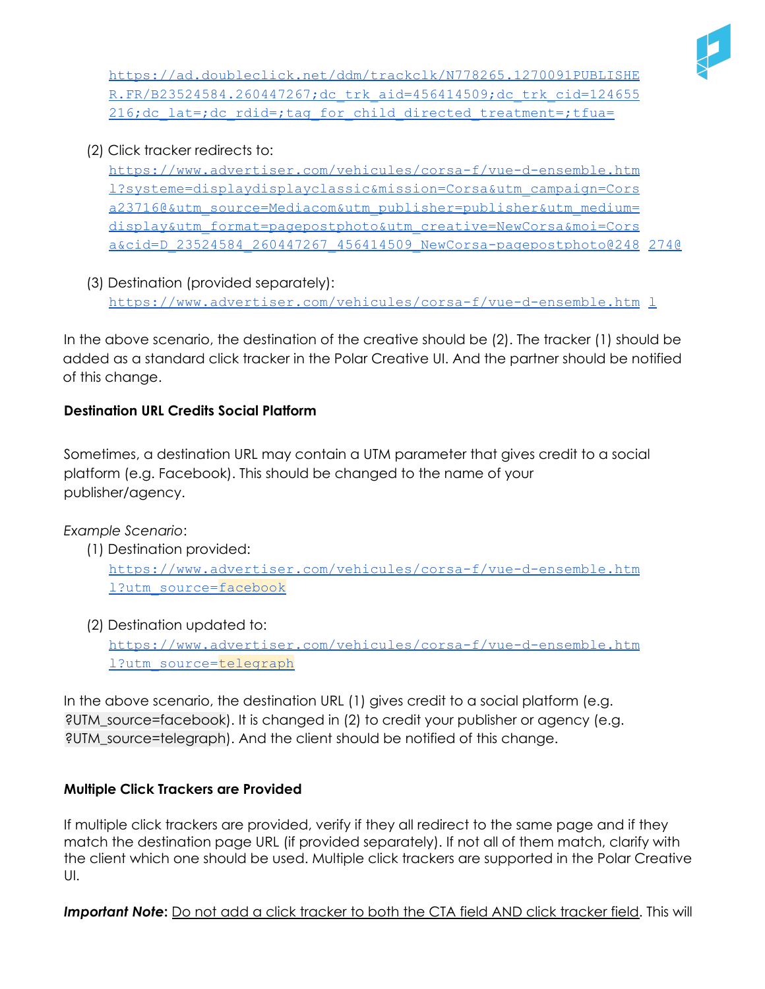

https://ad.doubleclick.net/ddm/trackclk/N778265.1270091PUBLISHE R.FR/B23524584.260447267;dc\_trk\_aid=456414509;dc\_trk\_cid=124655 216;dc\_lat=;dc\_rdid=;tag\_for\_child\_directed\_treatment=;tfua=

(2) Click tracker redirects to:

https://www.advertiser.com/vehicules/corsa-f/vue-d-ensemble.htm l?systeme=displaydisplayclassic&mission=Corsa&utm\_campaign=Cors a23716@&utm\_source=Mediacom&utm\_publisher=publisher&utm\_medium= display&utm\_format=pagepostphoto&utm\_creative=NewCorsa&moi=Cors a&cid=D\_23524584\_260447267\_456414509\_NewCorsa-pagepostphoto@248 274@

(3) Destination (provided separately): https://www.advertiser.com/vehicules/corsa-f/vue-d-ensemble.htm 1

In the above scenario, the destination of the creative should be (2). The tracker (1) should be added as a standard click tracker in the Polar Creative UI. And the partner should be notified of this change.

## <span id="page-6-0"></span>**Destination URL Credits Social Platform**

Sometimes, a destination URL may contain a UTM parameter that gives credit to a social platform (e.g. Facebook). This should be changed to the name of your publisher/agency.

*Example Scenario*:

- (1) Destination provided: https://www.advertiser.com/vehicules/corsa-f/vue-d-ensemble.htm l?utm\_source=facebook
- (2) Destination updated to:

https://www.advertiser.com/vehicules/corsa-f/vue-d-ensemble.htm l?utm\_source=telegraph

In the above scenario, the destination URL (1) gives credit to a social platform (e.g. ?UTM\_source=facebook). It is changed in (2) to credit your publisher or agency (e.g. ?UTM\_source=telegraph). And the client should be notified of this change.

## <span id="page-6-1"></span>**Multiple Click Trackers are Provided**

If multiple click trackers are provided, verify if they all redirect to the same page and if they match the destination page URL (if provided separately). If not all of them match, clarify with the client which one should be used. Multiple click trackers are supported in the Polar Creative UI.

*Important Note***:** Do not add a click tracker to both the CTA field AND click tracker field. This will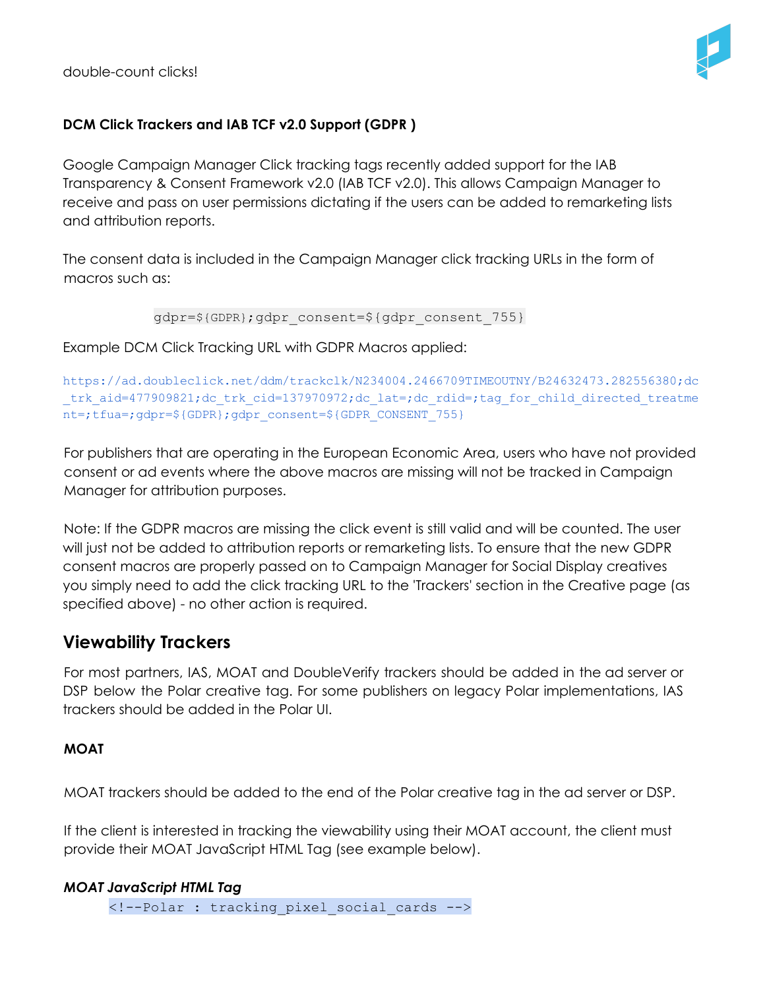double-count clicks!



## <span id="page-7-0"></span>**DCM Click Trackers and IAB TCF v2.0 Support (GDPR )**

Google Campaign Manager Click tracking tags recently added support for the IAB Transparency & Consent Framework v2.0 (IAB TCF v2.0). This allows Campaign Manager to receive and pass on user permissions dictating if the users can be added to remarketing lists and attribution reports.

The consent data is included in the Campaign Manager click tracking URLs in the form of macros such as:

```
gdpr=${GDPR};gdpr_consent=${gdpr_consent_755}
```
Example DCM Click Tracking URL with GDPR Macros applied:

```
https://ad.doubleclick.net/ddm/trackclk/N234004.2466709TIMEOUTNY/B24632473.282556380;dc
trk aid=477909821;dc trk cid=137970972;dc lat=;dc rdid=;tag for child directed treatme
nt=;tfua=;gdpr=${GDPR};gdpr_consent=${GDPR_CONSENT_755}
```
For publishers that are operating in the European Economic Area, users who have not provided consent or ad events where the above macros are missing will not be tracked in Campaign Manager for attribution purposes.

Note: If the GDPR macros are missing the click event is still valid and will be counted. The user will just not be added to attribution reports or remarketing lists. To ensure that the new GDPR consent macros are properly passed on to Campaign Manager for Social Display creatives you simply need to add the click tracking URL to the 'Trackers' section in the Creative page (as specified above) - no other action is required.

# <span id="page-7-1"></span>**Viewability Trackers**

For most partners, IAS, MOAT and DoubleVerify trackers should be added in the ad server or DSP below the Polar creative tag. For some publishers on legacy Polar implementations, IAS trackers should be added in the Polar UI.

## <span id="page-7-2"></span>**MOAT**

MOAT trackers should be added to the end of the Polar creative tag in the ad server or DSP.

If the client is interested in tracking the viewability using their MOAT account, the client must provide their MOAT JavaScript HTML Tag (see example below).

#### *MOAT JavaScript HTML Tag*

<!--Polar : tracking\_pixel\_social\_cards -->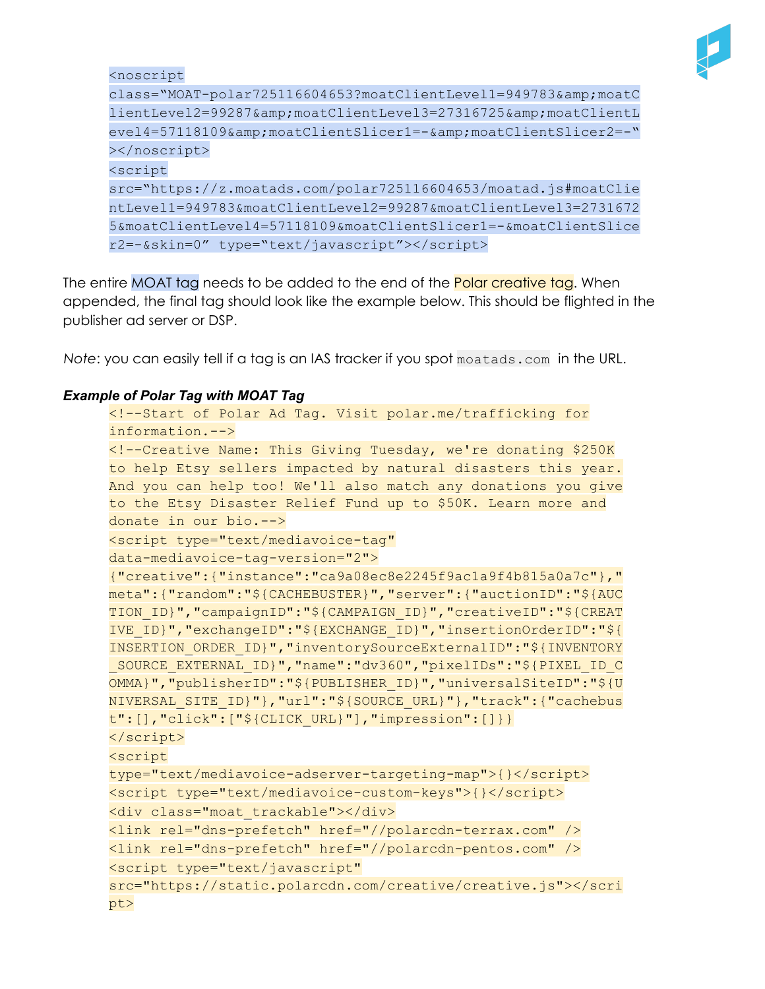

<noscript

class="MOAT-polar725116604653?moatClientLevel1=949783&moatC lientLevel2=99287&moatClientLevel3=27316725&moatClientL evel4=57118109&moatClientSlicer1=-&moatClientSlicer2=-" ></noscript> <script src="https://z.moatads.com/polar725116604653/moatad.js#moatClie ntLevel1=949783&moatClientLevel2=99287&moatClientLevel3=2731672 5&moatClientLevel4=57118109&moatClientSlicer1=-&moatClientSlice r2=-&skin=0" type="text/javascript"></script>

The entire MOAT tag needs to be added to the end of the **Polar creative tag**. When appended, the final tag should look like the example below. This should be flighted in the publisher ad server or DSP.

*Note*: you can easily tell if a tag is an IAS tracker if you spot moatads.com in the URL.

#### *Example of Polar Tag with MOAT Tag*

```
<!--Start of Polar Ad Tag. Visit polar.me/trafficking for
information.-->
<!--Creative Name: This Giving Tuesday, we're donating $250K
to help Etsy sellers impacted by natural disasters this year.
And you can help too! We'll also match any donations you give
to the Etsy Disaster Relief Fund up to $50K. Learn more and
donate in our bio.-->
<script type="text/mediavoice-tag"
data-mediavoice-tag-version="2">
{"creative":{"instance":"ca9a08ec8e2245f9ac1a9f4b815a0a7c"},"
meta":{"random":"${CACHEBUSTER}","server":{"auctionID":"${AUC
TION ID}", "campaignID":"${CAMPAIGN ID}", "creativeID":"${CREAT
IVE_ID}","exchangeID":"${EXCHANGE_ID}","insertionOrderID":"${
INSERTION_ORDER_ID}","inventorySourceExternalID":"${INVENTORY
_SOURCE_EXTERNAL_ID}","name":"dv360","pixelIDs":"${PIXEL_ID_C
OMMA}","publisherID":"${PUBLISHER_ID}","universalSiteID":"${U
NIVERSAL_SITE_ID}"},"url":"${SOURCE_URL}"},"track":{"cachebus
t":[],"click":["${CLICK_URL}"],"impression":[]}}
</script>
<script
type="text/mediavoice-adserver-targeting-map">{}</script>
<script type="text/mediavoice-custom-keys">{}</script>
<div class="moat_trackable"></div>
<link rel="dns-prefetch" href="//polarcdn-terrax.com" />
<link rel="dns-prefetch" href="//polarcdn-pentos.com" />
<script type="text/javascript"
src="https://static.polarcdn.com/creative/creative.js"></scri
pt>
```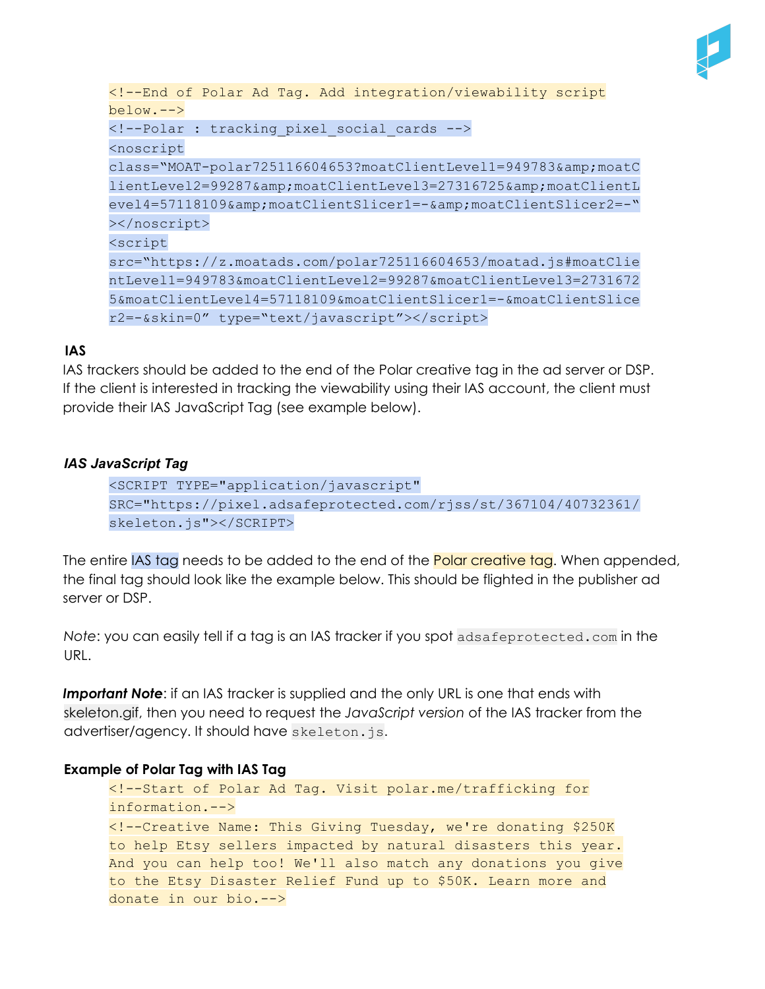

```
<!--End of Polar Ad Tag. Add integration/viewability script
below.-->
<!--Polar : tracking_pixel_social_cards -->
<noscript
class="MOAT-polar725116604653?moatClientLevel1=949783&moatC
lientLevel2=99287&moatClientLevel3=27316725&moatClientL
evel4=57118109&moatClientSlicer1=-&moatClientSlicer2=-"
></noscript>
<script
src="https://z.moatads.com/polar725116604653/moatad.js#moatClie
ntLevel1=949783&moatClientLevel2=99287&moatClientLevel3=2731672
5&moatClientLevel4=57118109&moatClientSlicer1=-&moatClientSlice
r2=-&skin=0" type="text/javascript"></script>
```
#### **IAS**

IAS trackers should be added to the end of the Polar creative tag in the ad server or DSP. If the client is interested in tracking the viewability using their IAS account, the client must provide their IAS JavaScript Tag (see example below).

#### *IAS JavaScript Tag*

```
<SCRIPT TYPE="application/javascript"
SRC="https://pixel.adsafeprotected.com/rjss/st/367104/40732361/
skeleton.js"></SCRIPT>
```
The entire IAS tag needs to be added to the end of the **Polar creative tag**. When appended, the final tag should look like the example below. This should be flighted in the publisher ad server or DSP.

*Note*: you can easily tell if a tag is an IAS tracker if you spot adsafeprotected.com in the URL.

**Important Note:** if an IAS tracker is supplied and the only URL is one that ends with skeleton.gif, then you need to request the *JavaScript version* of the IAS tracker from the advertiser/agency. It should have skeleton.js.

#### **Example of Polar Tag with IAS Tag**

```
<!--Start of Polar Ad Tag. Visit polar.me/trafficking for
information.-->
<!--Creative Name: This Giving Tuesday, we're donating $250K
to help Etsy sellers impacted by natural disasters this year.
And you can help too! We'll also match any donations you give
to the Etsy Disaster Relief Fund up to $50K. Learn more and
donate in our bio.-->
```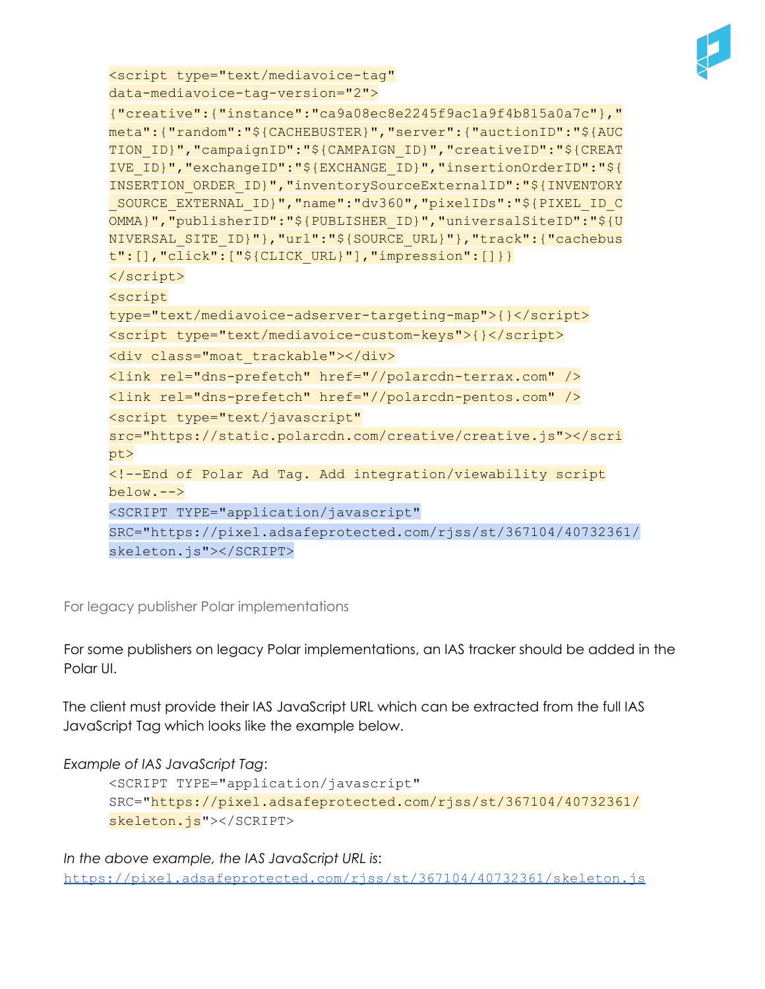

```
<script type="text/mediavoice-tag"
data-mediavoice-tag-version="2">
```

```
{"creative":{"instance":"ca9a08ec8e2245f9ac1a9f4b815a0a7c"},"
meta":{"random":"${CACHEBUSTER}","server":{"auctionID":"${AUC
TION_ID}","campaignID":"${CAMPAIGN_ID}","creativeID":"${CREAT
IVE_ID}","exchangeID":"${EXCHANGE_ID}","insertionOrderID":"${
INSERTION_ORDER_ID}","inventorySourceExternalID":"${INVENTORY
_SOURCE_EXTERNAL_ID}","name":"dv360","pixelIDs":"${PIXEL_ID_C
OMMA}","publisherID":"${PUBLISHER_ID}","universalSiteID":"${U
NIVERSAL_SITE_ID}"},"url":"${SOURCE_URL}"},"track":{"cachebus
t":[],"click":["${CLICK_URL}"],"impression":[]}}
</script>
<script
type="text/mediavoice-adserver-targeting-map">{}</script>
<script type="text/mediavoice-custom-keys">{}</script>
<div class="moat_trackable"></div>
<link rel="dns-prefetch" href="//polarcdn-terrax.com" />
<link rel="dns-prefetch" href="//polarcdn-pentos.com" />
<script type="text/javascript"
src="https://static.polarcdn.com/creative/creative.js"></scri
pt>
<!--End of Polar Ad Tag. Add integration/viewability script
below.-->
<SCRIPT TYPE="application/javascript"
SRC="https://pixel.adsafeprotected.com/rjss/st/367104/40732361/
skeleton.js"></SCRIPT>
```
For legacy publisher Polar implementations

For some publishers on legacy Polar implementations, an IAS tracker should be added in the Polar UI.

The client must provide their IAS JavaScript URL which can be extracted from the full IAS JavaScript Tag which looks like the example below.

*Example of IAS JavaScript Tag*:

```
<SCRIPT TYPE="application/javascript"
SRC="https://pixel.adsafeprotected.com/rjss/st/367104/40732361/
skeleton.js"></SCRIPT>
```
*In the above example, the IAS JavaScript URL is*: https://pixel.adsafeprotected.com/rjss/st/367104/40732361/skeleton.js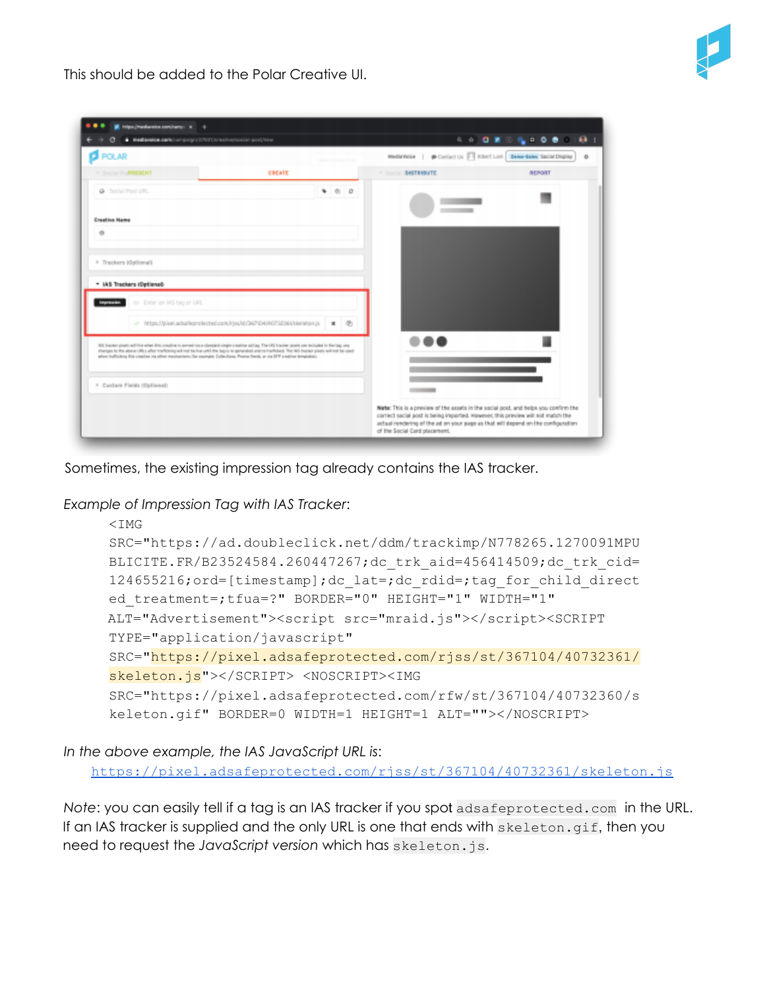

This should be added to the Polar Creative UI.

| <b>B</b> POLAR                                 |                                                                                                                                                                                                                                                                                                                                                                                                                                   | Metinteler   @ Cortact Us   Abert Lom Democrates Sacial Display | $4 + 0 + 0 + 4 + 0 + 0 + 0 + 1$<br>$\circ$ |
|------------------------------------------------|-----------------------------------------------------------------------------------------------------------------------------------------------------------------------------------------------------------------------------------------------------------------------------------------------------------------------------------------------------------------------------------------------------------------------------------|-----------------------------------------------------------------|--------------------------------------------|
| * Social Po <b>PRESENT</b>                     | <b>Sing-Custom Plat</b><br>CREATE                                                                                                                                                                                                                                                                                                                                                                                                 | - Social IBesTResuTE                                            | <b>REPORT</b>                              |
| G Social Paul URL                              | 900                                                                                                                                                                                                                                                                                                                                                                                                                               |                                                                 |                                            |
| <b>Creative Hame</b>                           |                                                                                                                                                                                                                                                                                                                                                                                                                                   |                                                                 |                                            |
| O.                                             |                                                                                                                                                                                                                                                                                                                                                                                                                                   |                                                                 |                                            |
| <sup>3</sup> Trackers (Optional)               |                                                                                                                                                                                                                                                                                                                                                                                                                                   |                                                                 |                                            |
| * IAS Trackers (Detlenab                       |                                                                                                                                                                                                                                                                                                                                                                                                                                   |                                                                 |                                            |
| <b>Impression</b><br>on Enter on MS tag or URL |                                                                                                                                                                                                                                                                                                                                                                                                                                   |                                                                 |                                            |
|                                                | v https://pixel.adsafeprotected.com/rjss/st/267/D4/RO732364/skeleton.js<br>@<br>$\mathbf x$                                                                                                                                                                                                                                                                                                                                       |                                                                 |                                            |
|                                                | (6) booker pleats will fire when this creative is primetivia a standard single shelling. The UCI lincker point one included in the lag uny<br>sharops to the above (49) a after trafficking will not be live until the tagic nr generated and no trafficked. The IAS tracket plasts will not be used<br>alwe bullstong this creative ris aller resoluzions; the excepts Collections, Promo fireds, or via DFP creative breakdock. |                                                                 |                                            |
|                                                |                                                                                                                                                                                                                                                                                                                                                                                                                                   |                                                                 |                                            |
| <sup>1</sup> Custom Fields (Optional)          |                                                                                                                                                                                                                                                                                                                                                                                                                                   |                                                                 |                                            |

Sometimes, the existing impression tag already contains the IAS tracker.

*Example of Impression Tag with IAS Tracker*:

```
<IMGSRC="https://ad.doubleclick.net/ddm/trackimp/N778265.1270091MPU
BLICITE.FR/B23524584.260447267;dc trk aid=456414509;dc trk cid=
124655216;ord=[timestamp];dc_lat=;dc_rdid=;tag_for_child_direct
ed treatment=;tfua=?" BORDER="0" HEIGHT="1" WIDTH="1"
ALT="Advertisement"><script src="mraid.js"></script><SCRIPT
TYPE="application/javascript"
SRC="https://pixel.adsafeprotected.com/rjss/st/367104/40732361/
skeleton.js"></SCRIPT> <NOSCRIPT><IMG
SRC="https://pixel.adsafeprotected.com/rfw/st/367104/40732360/s
keleton.gif" BORDER=0 WIDTH=1 HEIGHT=1 ALT=""></NOSCRIPT>
```
*In the above example, the IAS JavaScript URL is*:

https://pixel.adsafeprotected.com/rjss/st/367104/40732361/skeleton.js

*Note*: you can easily tell if a tag is an IAS tracker if you spot adsafeprotected.com in the URL. If an IAS tracker is supplied and the only URL is one that ends with skeleton.gif, then you need to request the *JavaScript version* which has skeleton.js.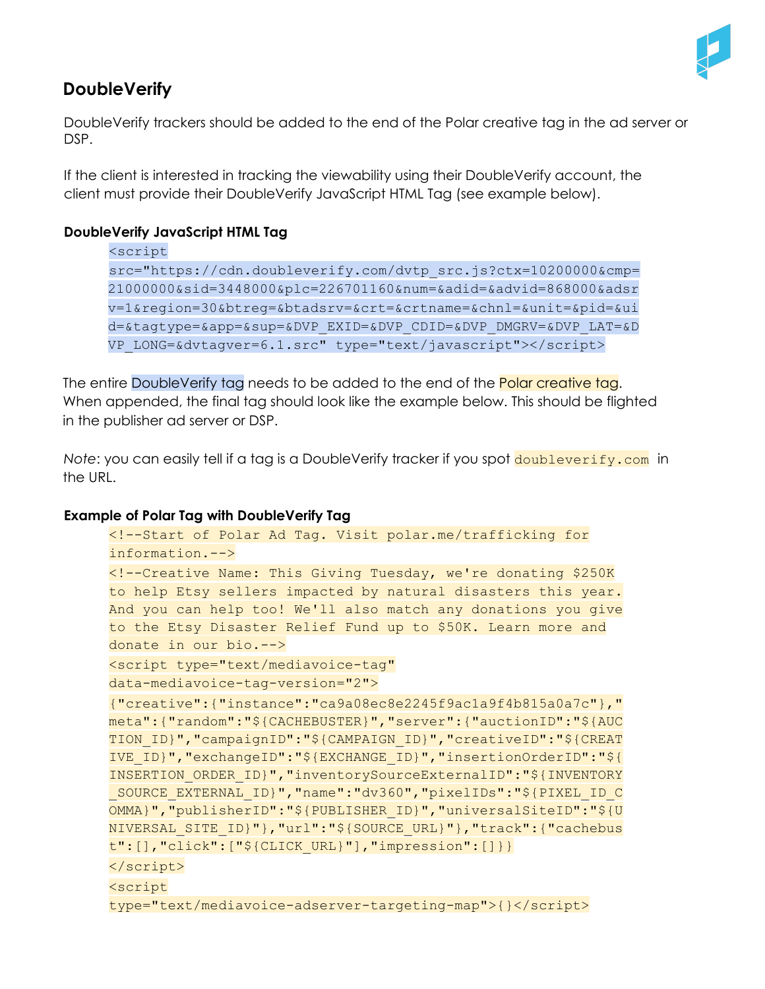

# <span id="page-12-0"></span>**DoubleVerify**

DoubleVerify trackers should be added to the end of the Polar creative tag in the ad server or DSP.

If the client is interested in tracking the viewability using their DoubleVerify account, the client must provide their DoubleVerify JavaScript HTML Tag (see example below).

#### **DoubleVerify JavaScript HTML Tag**

```
<script
src="https://cdn.doubleverify.com/dvtp_src.js?ctx=10200000&cmp=
21000000&sid=3448000&plc=226701160&num=&adid=&advid=868000&adsr
v=1&region=30&btreg=&btadsrv=&crt=&crtname=&chnl=&unit=&pid=&ui
d=&tagtype=&app=&sup=&DVP_EXID=&DVP_CDID=&DVP_DMGRV=&DVP_LAT=&D
VP_LONG=&dvtagver=6.1.src" type="text/javascript"></script>
```
The entire DoubleVerify tag needs to be added to the end of the **Polar creative tag.** When appended, the final tag should look like the example below. This should be flighted in the publisher ad server or DSP.

*Note*: you can easily tell if a tag is a DoubleVerify tracker if you spot **doubleverify.com** in the URL.

#### **Example of Polar Tag with DoubleVerify Tag**

```
<!--Start of Polar Ad Tag. Visit polar.me/trafficking for
information.-->
<!--Creative Name: This Giving Tuesday, we're donating $250K
to help Etsy sellers impacted by natural disasters this year.
And you can help too! We'll also match any donations you give
to the Etsy Disaster Relief Fund up to $50K. Learn more and
donate in our bio.-->
<script type="text/mediavoice-tag"
data-mediavoice-tag-version="2">
{"creative":{"instance":"ca9a08ec8e2245f9ac1a9f4b815a0a7c"},"
meta":{"random":"${CACHEBUSTER}","server":{"auctionID":"${AUC
TION_ID}","campaignID":"${CAMPAIGN_ID}","creativeID":"${CREAT
IVE_ID}","exchangeID":"${EXCHANGE_ID}","insertionOrderID":"${
INSERTION_ORDER_ID}","inventorySourceExternalID":"${INVENTORY
_SOURCE_EXTERNAL_ID}","name":"dv360","pixelIDs":"${PIXEL_ID_C
OMMA}","publisherID":"${PUBLISHER_ID}","universalSiteID":"${U
NIVERSAL_SITE_ID}"},"url":"${SOURCE_URL}"},"track":{"cachebus
t":[],"click":["${CLICK_URL}"],"impression":[]}}
</script>
<script
type="text/mediavoice-adserver-targeting-map">{}</script>
```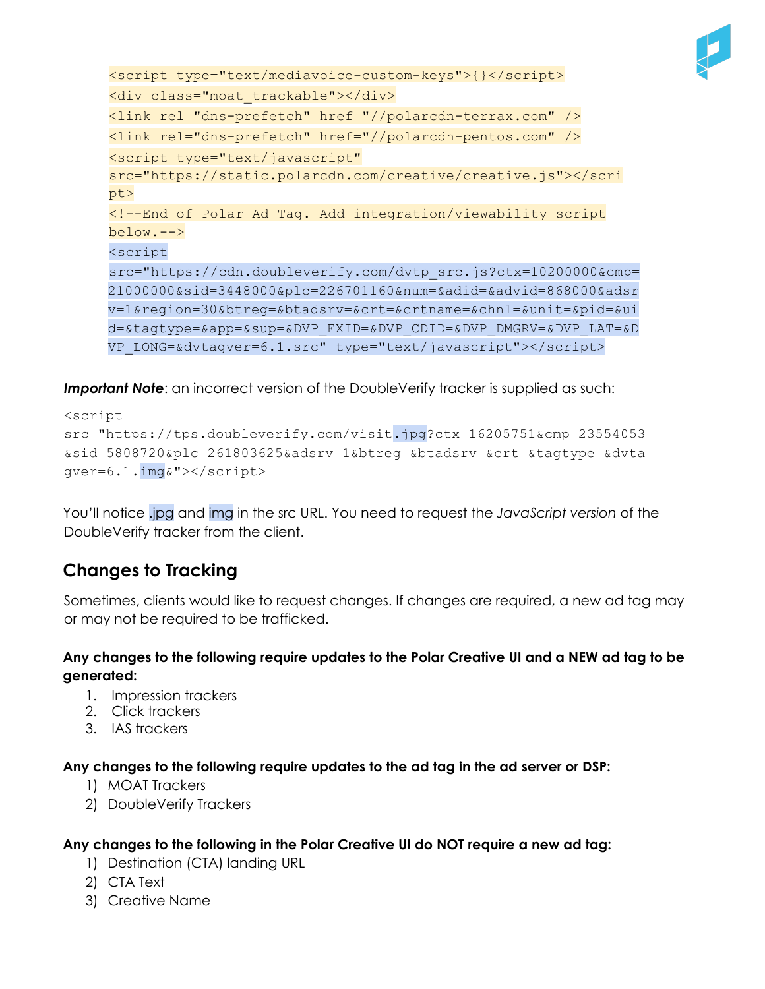

```
<script type="text/mediavoice-custom-keys">{}</script>
<div class="moat_trackable"></div>
<link rel="dns-prefetch" href="//polarcdn-terrax.com" />
<link rel="dns-prefetch" href="//polarcdn-pentos.com" />
<script type="text/javascript"
src="https://static.polarcdn.com/creative/creative.js"></scri
pt>
<!--End of Polar Ad Tag. Add integration/viewability script
below.-->
<script
src="https://cdn.doubleverify.com/dvtp_src.js?ctx=10200000&cmp=
21000000&sid=3448000&plc=226701160&num=&adid=&advid=868000&adsr
v=1&region=30&btreg=&btadsrv=&crt=&crtname=&chnl=&unit=&pid=&ui
d=&tagtype=&app=&sup=&DVP_EXID=&DVP_CDID=&DVP_DMGRV=&DVP_LAT=&D
VP_LONG=&dvtagver=6.1.src" type="text/javascript"></script>
```
**Important Note**: an incorrect version of the DoubleVerify tracker is supplied as such:

```
<script
src="https://tps.doubleverify.com/visit.jpg?ctx=16205751&cmp=23554053
&sid=5808720&plc=261803625&adsrv=1&btreg=&btadsrv=&crt=&tagtype=&dvta
gver=6.1.img&"></script>
```
You'll notice .jpg and img in the src URL. You need to request the *JavaScript version* of the DoubleVerify tracker from the client.

# <span id="page-13-0"></span>**Changes to Tracking**

Sometimes, clients would like to request changes. If changes are required, a new ad tag may or may not be required to be trafficked.

## Any changes to the following require updates to the Polar Creative UI and a NEW ad tag to be **generated:**

- 1. Impression trackers
- 2. Click trackers
- 3. IAS trackers

**Any changes to the following require updates to the ad tag in the ad server or DSP:**

- 1) MOAT Trackers
- 2) DoubleVerify Trackers

## **Any changes to the following in the Polar Creative UI do NOT require a new ad tag:**

- 1) Destination (CTA) landing URL
- 2) CTA Text
- 3) Creative Name